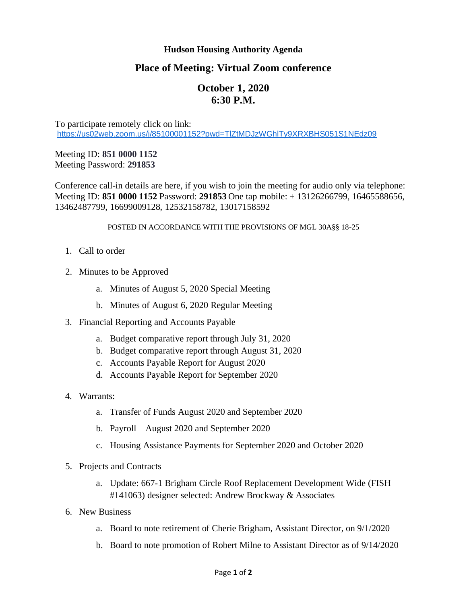## **Hudson Housing Authority Agenda**

## **Place of Meeting: Virtual Zoom conference**

## **October 1, 2020 6:30 P.M.**

To participate remotely click on link: <https://us02web.zoom.us/j/85100001152?pwd=TlZtMDJzWGhlTy9XRXBHS051S1NEdz09>

Meeting ID: **851 0000 1152** Meeting Password: **291853**

Conference call-in details are here, if you wish to join the meeting for audio only via telephone: Meeting ID: **851 0000 1152** Password: **291853** One tap mobile: + 13126266799, 16465588656, 13462487799, 16699009128, 12532158782, 13017158592

## POSTED IN ACCORDANCE WITH THE PROVISIONS OF MGL 30A§§ 18-25

- 1. Call to order
- 2. Minutes to be Approved
	- a. Minutes of August 5, 2020 Special Meeting
	- b. Minutes of August 6, 2020 Regular Meeting
- 3. Financial Reporting and Accounts Payable
	- a. Budget comparative report through July 31, 2020
	- b. Budget comparative report through August 31, 2020
	- c. Accounts Payable Report for August 2020
	- d. Accounts Payable Report for September 2020
- 4. Warrants:
	- a. Transfer of Funds August 2020 and September 2020
	- b. Payroll August 2020 and September 2020
	- c. Housing Assistance Payments for September 2020 and October 2020
- 5. Projects and Contracts
	- a. Update: 667-1 Brigham Circle Roof Replacement Development Wide (FISH #141063) designer selected: Andrew Brockway & Associates
- 6. New Business
	- a. Board to note retirement of Cherie Brigham, Assistant Director, on 9/1/2020
	- b. Board to note promotion of Robert Milne to Assistant Director as of 9/14/2020